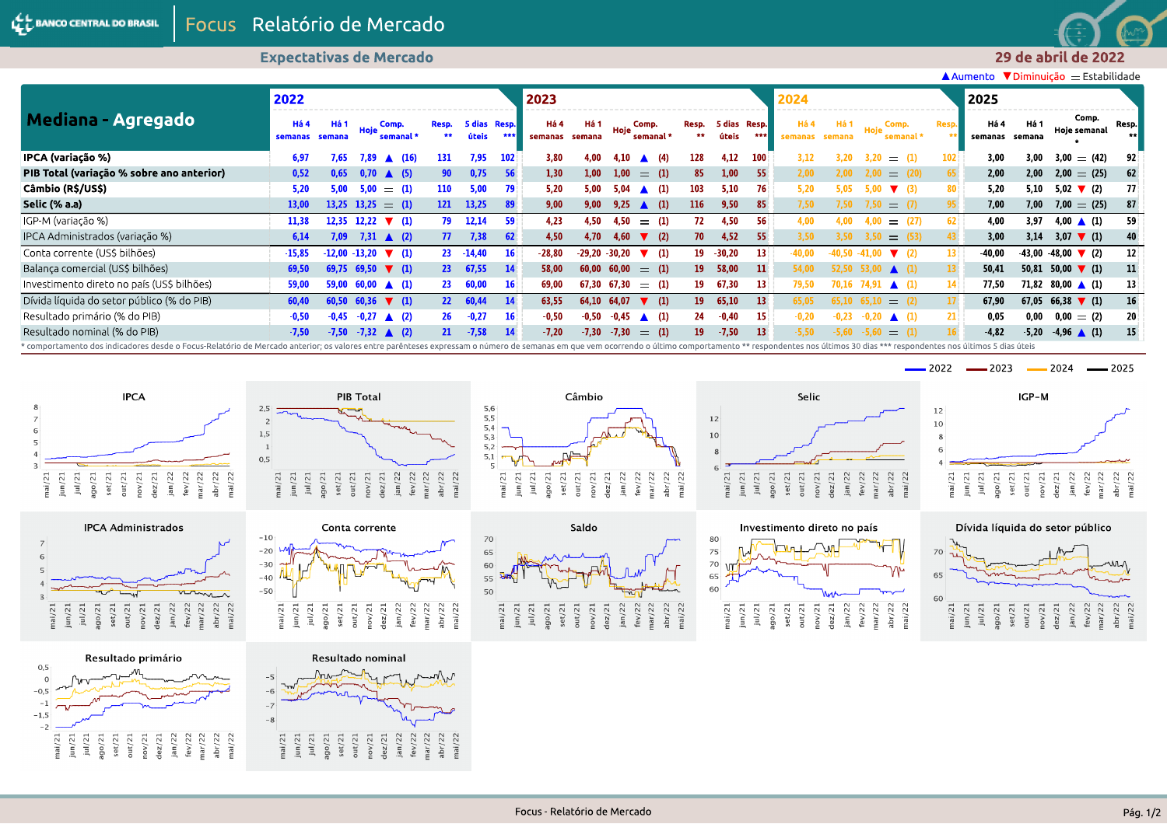

## **Expectativas de Mercado**

▲ Aumento ▼ Diminuição = Estabilidade

| Mediana - Agregado<br>IPCA (variação %)                                                                                                                                                                                        | 2022                                                                                                                           |                  |         |                               |                 |                       |           | 2023            |                |             |                           |                 |                       |                 | 2024            |                |          |                             |       | 2025            |                |                                      |                 |
|--------------------------------------------------------------------------------------------------------------------------------------------------------------------------------------------------------------------------------|--------------------------------------------------------------------------------------------------------------------------------|------------------|---------|-------------------------------|-----------------|-----------------------|-----------|-----------------|----------------|-------------|---------------------------|-----------------|-----------------------|-----------------|-----------------|----------------|----------|-----------------------------|-------|-----------------|----------------|--------------------------------------|-----------------|
|                                                                                                                                                                                                                                | Há 4<br>semanas<br>6,97<br>0,52<br>5,20<br>13,00<br>11,38<br>6,14<br>$-15,85$<br>69,50<br>59,00<br>60,40<br>$-0,50$<br>$-7,50$ | -Há 1<br>semana  | Hoje    | Comp.<br>semanal <sup>®</sup> | Resp.<br>**     | 5 dias Resp.<br>úteis | ***       | Há 4<br>semanas | Há 1<br>semana | Hoie        | Comp.<br>semanal *        | Resp.<br>**     | 5 dias Resp.<br>úteis | ***             | Há 4<br>semanas | Há '<br>semana | Hoje     | Comp.<br>semanal *          | Resp. | Há 4<br>semanas | Há 1<br>semana | Comp.<br>Hoje semanal                | Resp.           |
|                                                                                                                                                                                                                                |                                                                                                                                |                  | 7.89    | (16)<br>$\blacktriangle$      | 131             | 7,95                  |           | 3.80            | 4.00           |             | (4)<br>$\blacktriangle$   | 128             | 4.12                  |                 | 3.12            |                |          | $=$                         |       | 3.00            | 3.00           | $3,00 = (42)$                        |                 |
| PIB Total (variação % sobre ano anterior)                                                                                                                                                                                      |                                                                                                                                | 0.65             | 0.70    | $\triangle$ (5)               | 90              | 0,75                  | 56        | 1,30            | 1.00           | 1.00        | (1)<br>$=$                | 85              | 1,00                  | 55.             | 2,00            |                | 2.00     | (20)<br>$=$                 | 65    | 2,00            | 2,00           | $2.00 = (25)$                        | 62              |
| Câmbio (R\$/US\$)                                                                                                                                                                                                              |                                                                                                                                | 5.00             | 5.00    | $=$ (1)                       | 110             | 5,00                  | 79        | 5,20            | 5.00           | 5.04        | (1)                       | 103             | 5,10                  | 76              | 5,20            | 5.05           |          | $\blacktriangledown$ (3)    | 80    | 5.20            | 5,10           | $5,02$ (2)                           | 77              |
| Selic (% a.a)                                                                                                                                                                                                                  |                                                                                                                                |                  |         | $13,25$ $13,25$ $\equiv$ (1)  | <b>121</b>      | 13,25                 | -89       | 9,00            | 9.00           | 9,25        | $\triangle$ (1)           | 116             | 9,50                  | 85              | 7.50            |                |          | $=$                         |       | 7.00            | 7,00           | $7,00 = (25)$                        | 87              |
| IGP-M (variação %)                                                                                                                                                                                                             |                                                                                                                                | 12.35            | 12,22   | $\nabla$ (1)                  | 79              | 12,14                 | 59        | 4,23            | 4,50           | 4.50        | (1)<br>$=$                | 72.             | 4,50                  | 56              | 4.00            |                |          | (27)<br>$=$                 | 62    | 4.00            | 3.97           | 4,00 $\triangle$ (1)                 | 59              |
| IPCA Administrados (variação %)                                                                                                                                                                                                |                                                                                                                                | 7.09             |         | 7,31 $\triangle$ (2)          | 77              | 7,38                  | 62        | 4.50            | 4.70           | 4.60        | $\blacktriangledown$ (2)  | 70              | 4,52                  | -55             | 3,50            |                | 3.50     | $= (53)$                    |       | 3.00            | 3,14           | $3.07 \t\t\t\t\t (1)$                | 40              |
| Conta corrente (US\$ bilhões)                                                                                                                                                                                                  |                                                                                                                                | $-12.00 - 13.20$ |         | $\blacktriangledown$ (1)      | 23              | $-14,40$              | <b>16</b> | $-28.80$        | $-29.20$       | $-30.20$    | $\nabla$ (1)              | 19              | $-30,20$              | 13 <sup>1</sup> | 40.00           |                | $-41.00$ |                             | 13.   | -40.00          | $-43,00$       | $-48,00$ $\blacktriangledown$ (2)    | 12              |
| Balança comercial (US\$ bilhões)                                                                                                                                                                                               |                                                                                                                                | 69.75            | 69,50   | $\blacktriangledown$ (1)      | $23 -$          | 67,55                 | <b>14</b> | 58.00           | 60,00          | 60.00       | $=$ (1)                   | <b>19</b>       | 58,00                 | $11 \,$         | 54,00           |                |          | $53.00 \triangle (1)$       |       | 50.41           |                | 50,81 50,00 $\blacktriangledown$ (1) | 11              |
| Investimento direto no país (US\$ bilhões)                                                                                                                                                                                     |                                                                                                                                |                  |         | $59,00$ 60,00 $\triangle$ (1) | -23             | 60,00                 | -16       | 69,00           |                |             | $67,30$ $67,30$ $=$ $(1)$ | 19              | 67,30                 | 13 <sup>1</sup> | 79,50           |                |          | 70.16 74,91 $\triangle$ (1) |       | 77,50           |                | 71,82 80,00 $\triangle$ (1)          | 13              |
| Dívida líquida do setor público (% do PIB)                                                                                                                                                                                     |                                                                                                                                | 60.50            | 60,36   | $\blacktriangledown$ (1)      | 22 <sub>2</sub> | 60,44                 | 14        | 63,55           |                | 64,10 64,07 | $\blacktriangledown$ (1)  | <b>19</b>       | 65,10                 | 13 <sup>1</sup> | 65.05           | 65.10          | 65.10    | $=$ (2)                     |       | 67,90           |                | 67,05 66,38 $\blacktriangledown$ (1) | 16 <sup>°</sup> |
| Resultado primário (% do PIB)                                                                                                                                                                                                  |                                                                                                                                | $-0.45$          | $-0,27$ | $\triangle$ (2)               | 26              | $-0,27$               | 16        | $-0,50$         | $-0.50$        | $-0.45$     | $\triangle$ (1)           | 24              | $-0,40$               | 15.             | $-0,20$         | $-0.23$        |          | $\triangle$ (1)             |       | 0.05            | 0,00           | $0.00 = (2)$                         | 20              |
| Resultado nominal (% do PIB)                                                                                                                                                                                                   |                                                                                                                                | $-7.50$          | $-7,32$ | $\triangle$ (2)               | 21              | $-7,58$               | 14        | $-7.20$         | $-7,30$        | $-7,30$     | $=$ (1)                   | 19 <sup>°</sup> | $-7,50$               | 13 <sup>°</sup> | $-5,50$         |                | $-5.60$  | $=$                         |       | $-4.82$         | $-5,20$        | $-4,96$ (1)                          | 15              |
| * comportamento dos indicadores desde o Focus-Relatório de Mercado anterior; os valores entre parênteses expressam o número de semanas em que vem ocorrendo o último comportamento ** respondentes nos últimos 30 dias *** res |                                                                                                                                |                  |         |                               |                 |                       |           |                 |                |             |                           |                 |                       |                 |                 |                |          |                             |       |                 |                |                                      |                 |





Resultado primário

 $0,5$ 

 $^{\rm -1}$ 

 $-2$  $mai/21$  $\frac{1}{2}$ 

 $j$ ul/21

ago/21<br>set/21  $out/21$  $nov/21$  $dez/21$ 

 $^{-1,5}$ 

 $\mathbf{O}$  $-0,5$ 



PIB Total